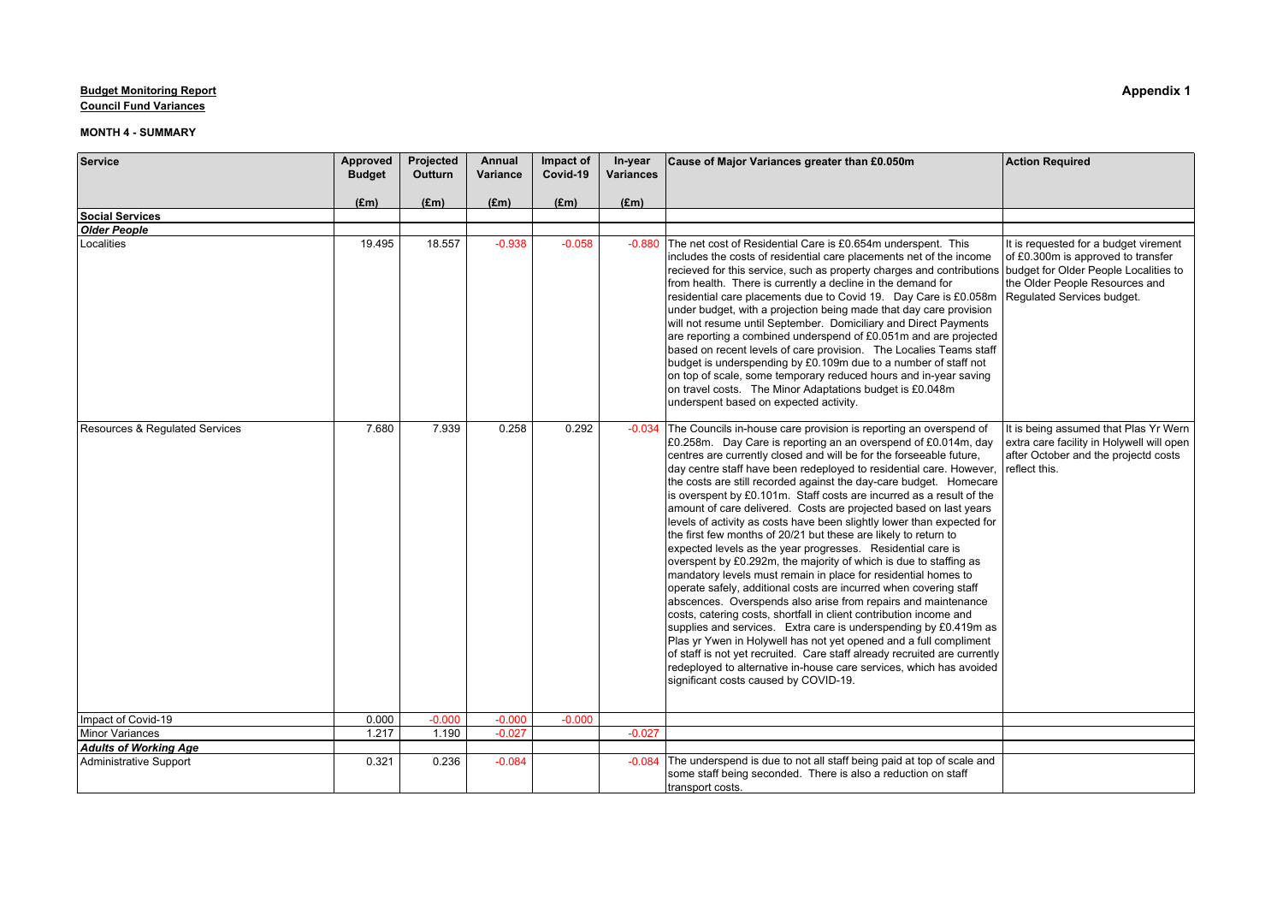**Council Fund Variances**

| Service                        | Approved      | Projected      | Annual   | Impact of     | In-year          | Cause of Major Variances greater than £0.050m                                                                                                                                                                                                                                                                                                                                                                                                                                                                                                                                                                                                                                                                                                                                                                                                                                                                                                                                                                                                                                                                                                                                                                                                                                                                                                                                                             | <b>Action Required</b>                                                                                                                      |
|--------------------------------|---------------|----------------|----------|---------------|------------------|-----------------------------------------------------------------------------------------------------------------------------------------------------------------------------------------------------------------------------------------------------------------------------------------------------------------------------------------------------------------------------------------------------------------------------------------------------------------------------------------------------------------------------------------------------------------------------------------------------------------------------------------------------------------------------------------------------------------------------------------------------------------------------------------------------------------------------------------------------------------------------------------------------------------------------------------------------------------------------------------------------------------------------------------------------------------------------------------------------------------------------------------------------------------------------------------------------------------------------------------------------------------------------------------------------------------------------------------------------------------------------------------------------------|---------------------------------------------------------------------------------------------------------------------------------------------|
|                                | <b>Budget</b> | <b>Outturn</b> | Variance | Covid-19      | <b>Variances</b> |                                                                                                                                                                                                                                                                                                                                                                                                                                                                                                                                                                                                                                                                                                                                                                                                                                                                                                                                                                                                                                                                                                                                                                                                                                                                                                                                                                                                           |                                                                                                                                             |
|                                | (£m)          | $(\text{Em})$  | (Em)     | $(\text{Em})$ | (Em)             |                                                                                                                                                                                                                                                                                                                                                                                                                                                                                                                                                                                                                                                                                                                                                                                                                                                                                                                                                                                                                                                                                                                                                                                                                                                                                                                                                                                                           |                                                                                                                                             |
| <b>Social Services</b>         |               |                |          |               |                  |                                                                                                                                                                                                                                                                                                                                                                                                                                                                                                                                                                                                                                                                                                                                                                                                                                                                                                                                                                                                                                                                                                                                                                                                                                                                                                                                                                                                           |                                                                                                                                             |
| <b>Older People</b>            |               |                |          |               |                  |                                                                                                                                                                                                                                                                                                                                                                                                                                                                                                                                                                                                                                                                                                                                                                                                                                                                                                                                                                                                                                                                                                                                                                                                                                                                                                                                                                                                           |                                                                                                                                             |
| Localities                     | 19.495        | 18.557         | $-0.938$ | $-0.058$      | $-0.880$         | The net cost of Residential Care is £0.654m underspent. This<br>includes the costs of residential care placements net of the income<br>recieved for this service, such as property charges and contributions budget for Older People Localities to<br>from health. There is currently a decline in the demand for<br>residential care placements due to Covid 19. Day Care is £0.058m<br>under budget, with a projection being made that day care provision<br>will not resume until September. Domiciliary and Direct Payments<br>are reporting a combined underspend of £0.051m and are projected<br>based on recent levels of care provision. The Localies Teams staff<br>budget is underspending by £0.109m due to a number of staff not<br>on top of scale, some temporary reduced hours and in-year saving<br>on travel costs. The Minor Adaptations budget is £0.048m<br>underspent based on expected activity.                                                                                                                                                                                                                                                                                                                                                                                                                                                                                    | It is requested for a budget virement<br>of £0.300m is approved to transfer<br>the Older People Resources and<br>Regulated Services budget. |
| Resources & Regulated Services | 7.680         | 7.939          | 0.258    | 0.292         | $-0.034$         | The Councils in-house care provision is reporting an overspend of<br>£0.258m. Day Care is reporting an an overspend of £0.014m, day<br>centres are currently closed and will be for the forseeable future,<br>day centre staff have been redeployed to residential care. However,<br>the costs are still recorded against the day-care budget. Homecare<br>is overspent by £0.101m. Staff costs are incurred as a result of the<br>amount of care delivered. Costs are projected based on last years<br>levels of activity as costs have been slightly lower than expected for<br>the first few months of 20/21 but these are likely to return to<br>expected levels as the year progresses. Residential care is<br>overspent by £0.292m, the majority of which is due to staffing as<br>mandatory levels must remain in place for residential homes to<br>operate safely, additional costs are incurred when covering staff<br>abscences. Overspends also arise from repairs and maintenance<br>costs, catering costs, shortfall in client contribution income and<br>supplies and services. Extra care is underspending by £0.419m as<br>Plas yr Ywen in Holywell has not yet opened and a full compliment<br>of staff is not yet recruited. Care staff already recruited are currently<br>redeployed to alternative in-house care services, which has avoided<br>significant costs caused by COVID-19. | It is being assumed that Plas Yr Wern<br>extra care facility in Holywell will open<br>after October and the projectd costs<br>reflect this. |
| Impact of Covid-19             | 0.000         | $-0.000$       | $-0.000$ | $-0.000$      |                  |                                                                                                                                                                                                                                                                                                                                                                                                                                                                                                                                                                                                                                                                                                                                                                                                                                                                                                                                                                                                                                                                                                                                                                                                                                                                                                                                                                                                           |                                                                                                                                             |
| Minor Variances                | 1.217         | 1.190          | $-0.027$ |               | $-0.027$         |                                                                                                                                                                                                                                                                                                                                                                                                                                                                                                                                                                                                                                                                                                                                                                                                                                                                                                                                                                                                                                                                                                                                                                                                                                                                                                                                                                                                           |                                                                                                                                             |
| <b>Adults of Working Age</b>   |               |                |          |               |                  |                                                                                                                                                                                                                                                                                                                                                                                                                                                                                                                                                                                                                                                                                                                                                                                                                                                                                                                                                                                                                                                                                                                                                                                                                                                                                                                                                                                                           |                                                                                                                                             |
| <b>Administrative Support</b>  | 0.321         | 0.236          | $-0.084$ |               | $-0.084$         | The underspend is due to not all staff being paid at top of scale and<br>some staff being seconded. There is also a reduction on staff<br>transport costs.                                                                                                                                                                                                                                                                                                                                                                                                                                                                                                                                                                                                                                                                                                                                                                                                                                                                                                                                                                                                                                                                                                                                                                                                                                                |                                                                                                                                             |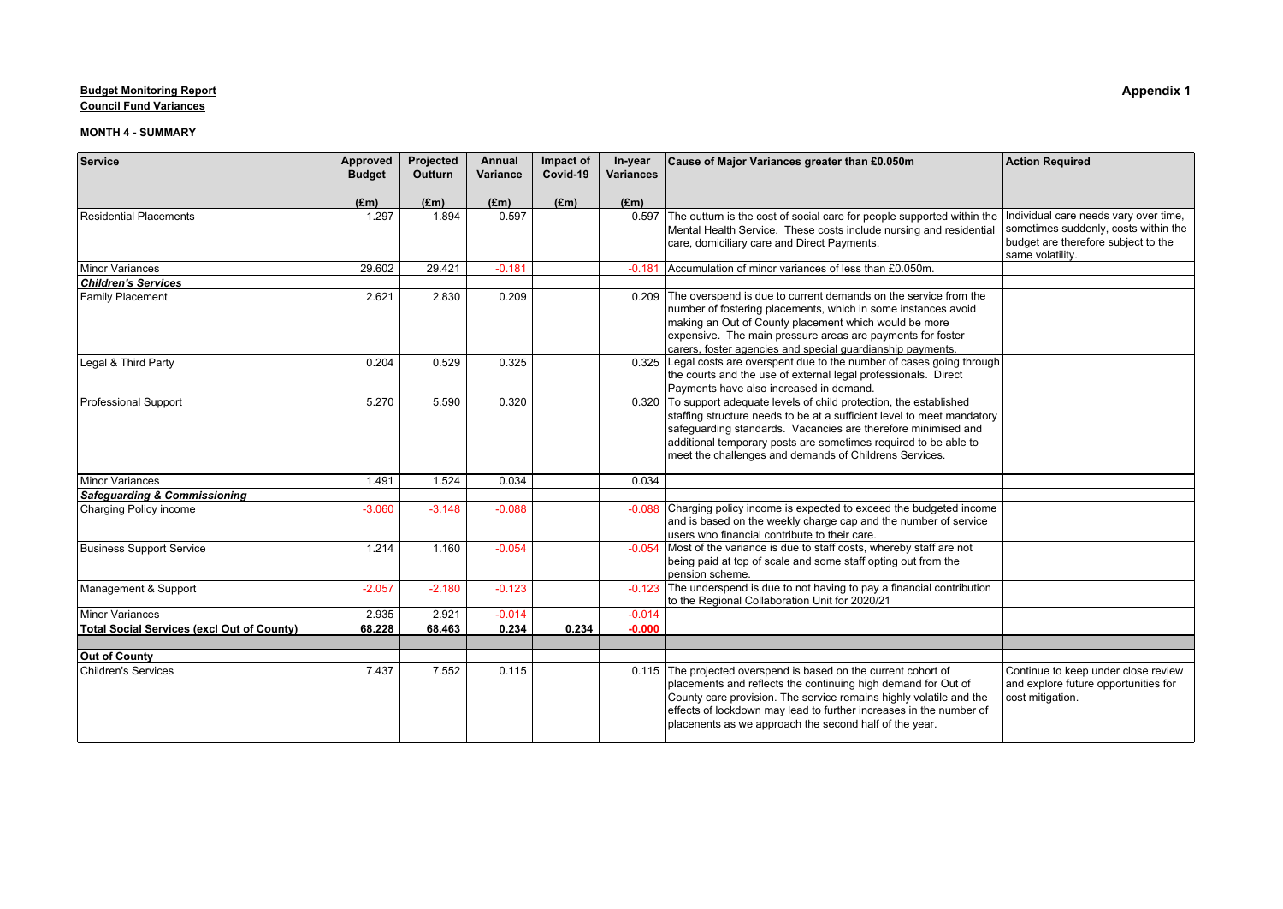**Council Fund Variances**

| Service                                           | Approved      | Projected     | Annual   | Impact of | In-year          | Cause of Major Variances greater than £0.050m                                                                                      | <b>Action Required</b>                                                      |
|---------------------------------------------------|---------------|---------------|----------|-----------|------------------|------------------------------------------------------------------------------------------------------------------------------------|-----------------------------------------------------------------------------|
|                                                   | <b>Budget</b> | Outturn       | Variance | Covid-19  | <b>Variances</b> |                                                                                                                                    |                                                                             |
|                                                   | $(\text{Em})$ | $(\text{Em})$ | (Em)     | (Em)      | (Em)             |                                                                                                                                    |                                                                             |
| Residential Placements                            | 1.297         | 1.894         | 0.597    |           | 0.597            | The outturn is the cost of social care for people supported within the                                                             | Individual care needs vary over time,                                       |
|                                                   |               |               |          |           |                  | Mental Health Service. These costs include nursing and residential<br>care, domiciliary care and Direct Payments.                  | sometimes suddenly, costs within the<br>budget are therefore subject to the |
|                                                   |               |               |          |           |                  |                                                                                                                                    | same volatility.                                                            |
| Minor Variances                                   | 29.602        | 29.421        | $-0.181$ |           |                  | -0.181 Accumulation of minor variances of less than £0.050m.                                                                       |                                                                             |
| <b>Children's Services</b>                        |               |               |          |           |                  |                                                                                                                                    |                                                                             |
| <b>Family Placement</b>                           | 2.621         | 2.830         | 0.209    |           |                  | 0.209 The overspend is due to current demands on the service from the                                                              |                                                                             |
|                                                   |               |               |          |           |                  | number of fostering placements, which in some instances avoid                                                                      |                                                                             |
|                                                   |               |               |          |           |                  | making an Out of County placement which would be more                                                                              |                                                                             |
|                                                   |               |               |          |           |                  | expensive. The main pressure areas are payments for foster<br>carers, foster agencies and special guardianship payments.           |                                                                             |
| Legal & Third Party                               | 0.204         | 0.529         | 0.325    |           |                  | 0.325 Legal costs are overspent due to the number of cases going through                                                           |                                                                             |
|                                                   |               |               |          |           |                  | the courts and the use of external legal professionals. Direct                                                                     |                                                                             |
|                                                   |               |               |          |           |                  | Payments have also increased in demand.                                                                                            |                                                                             |
| Professional Support                              | 5.270         | 5.590         | 0.320    |           |                  | 0.320 To support adequate levels of child protection, the established                                                              |                                                                             |
|                                                   |               |               |          |           |                  | staffing structure needs to be at a sufficient level to meet mandatory                                                             |                                                                             |
|                                                   |               |               |          |           |                  | safequarding standards. Vacancies are therefore minimised and                                                                      |                                                                             |
|                                                   |               |               |          |           |                  | additional temporary posts are sometimes required to be able to                                                                    |                                                                             |
|                                                   |               |               |          |           |                  | meet the challenges and demands of Childrens Services.                                                                             |                                                                             |
| Minor Variances                                   | 1.491         | 1.524         | 0.034    |           | 0.034            |                                                                                                                                    |                                                                             |
| Safequarding & Commissioning                      |               |               |          |           |                  |                                                                                                                                    |                                                                             |
| Charging Policy income                            | $-3.060$      | $-3.148$      | $-0.088$ |           | $-0.088$         | Charging policy income is expected to exceed the budgeted income                                                                   |                                                                             |
|                                                   |               |               |          |           |                  | and is based on the weekly charge cap and the number of service                                                                    |                                                                             |
|                                                   |               |               |          |           |                  | users who financial contribute to their care.                                                                                      |                                                                             |
| <b>Business Support Service</b>                   | 1.214         | 1.160         | $-0.054$ |           | $-0.054$         | Most of the variance is due to staff costs, whereby staff are not<br>being paid at top of scale and some staff opting out from the |                                                                             |
|                                                   |               |               |          |           |                  | Ipension scheme.                                                                                                                   |                                                                             |
| Management & Support                              | $-2.057$      | $-2.180$      | $-0.123$ |           | $-0.123$         | The underspend is due to not having to pay a financial contribution                                                                |                                                                             |
|                                                   |               |               |          |           |                  | to the Regional Collaboration Unit for 2020/21                                                                                     |                                                                             |
| Minor Variances                                   | 2.935         | 2.921         | $-0.014$ |           | $-0.014$         |                                                                                                                                    |                                                                             |
| <b>Total Social Services (excl Out of County)</b> | 68.228        | 68.463        | 0.234    | 0.234     | $-0.000$         |                                                                                                                                    |                                                                             |
|                                                   |               |               |          |           |                  |                                                                                                                                    |                                                                             |
| Out of County<br>Children's Services              | 7.437         | 7.552         | 0.115    |           |                  | 0.115 The projected overspend is based on the current cohort of                                                                    |                                                                             |
|                                                   |               |               |          |           |                  | placements and reflects the continuing high demand for Out of                                                                      | Continue to keep under close review<br>and explore future opportunities for |
|                                                   |               |               |          |           |                  | County care provision. The service remains highly volatile and the                                                                 | cost mitigation.                                                            |
|                                                   |               |               |          |           |                  | effects of lockdown may lead to further increases in the number of                                                                 |                                                                             |
|                                                   |               |               |          |           |                  | placenents as we approach the second half of the year.                                                                             |                                                                             |
|                                                   |               |               |          |           |                  |                                                                                                                                    |                                                                             |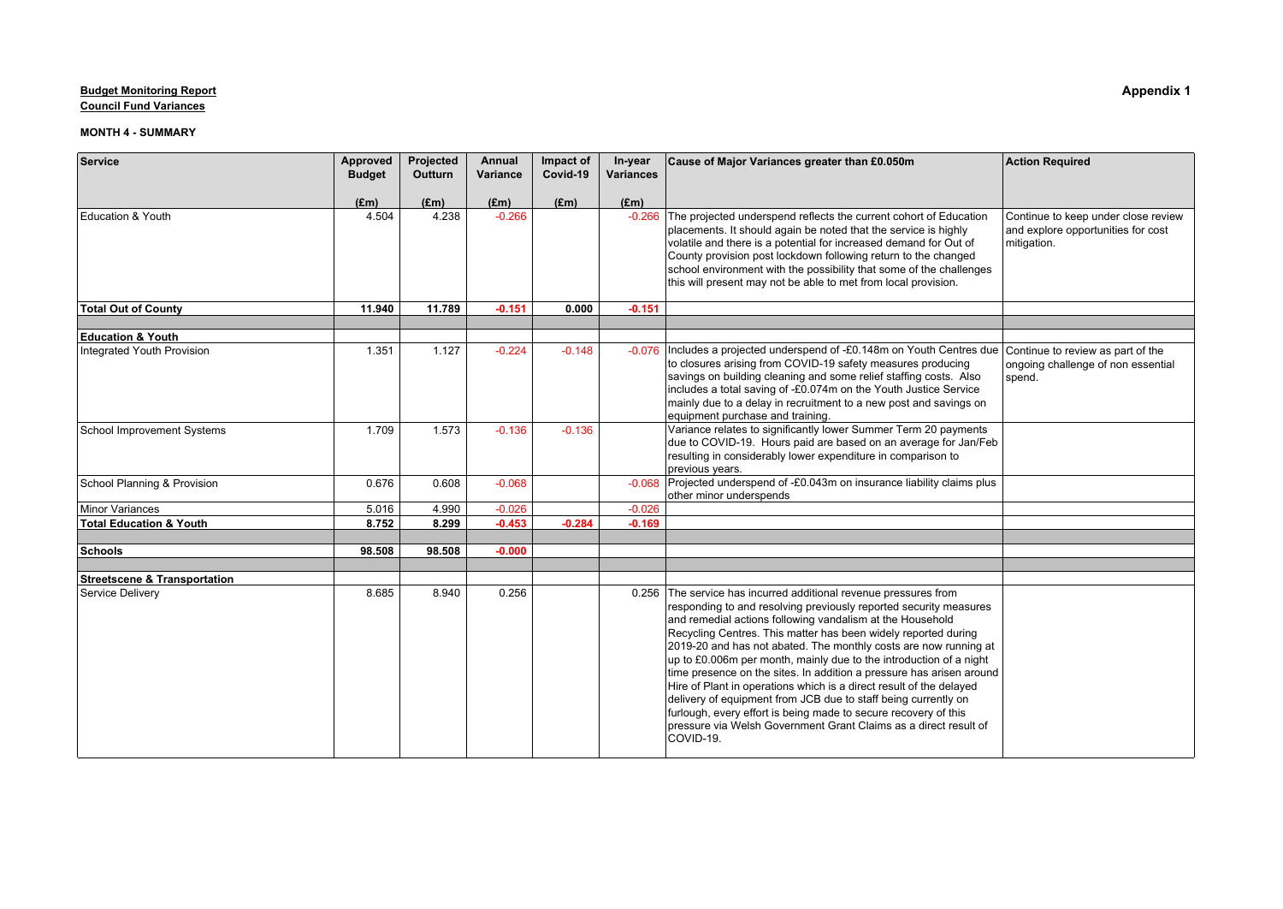**Council Fund Variances**

| Service                                 | Approved      | Projected      | Annual   | Impact of<br>Covid-19 | In-year          | Cause of Major Variances greater than £0.050m                                                                                                                                                                                                                                                                                                                                                                                                                                                                                                                                                                                                                                                                                                                                  | <b>Action Required</b>                                                                   |
|-----------------------------------------|---------------|----------------|----------|-----------------------|------------------|--------------------------------------------------------------------------------------------------------------------------------------------------------------------------------------------------------------------------------------------------------------------------------------------------------------------------------------------------------------------------------------------------------------------------------------------------------------------------------------------------------------------------------------------------------------------------------------------------------------------------------------------------------------------------------------------------------------------------------------------------------------------------------|------------------------------------------------------------------------------------------|
|                                         | <b>Budget</b> | <b>Outturn</b> | Variance |                       | <b>Variances</b> |                                                                                                                                                                                                                                                                                                                                                                                                                                                                                                                                                                                                                                                                                                                                                                                |                                                                                          |
|                                         | $(\text{Em})$ | $(\text{Em})$  | (Em)     | (Em)                  | (Em)             |                                                                                                                                                                                                                                                                                                                                                                                                                                                                                                                                                                                                                                                                                                                                                                                |                                                                                          |
| Education & Youth                       | 4.504         | 4.238          | $-0.266$ |                       | $-0.266$         | The projected underspend reflects the current cohort of Education<br>placements. It should again be noted that the service is highly<br>volatile and there is a potential for increased demand for Out of<br>County provision post lockdown following return to the changed<br>school environment with the possibility that some of the challenges<br>this will present may not be able to met from local provision.                                                                                                                                                                                                                                                                                                                                                           | Continue to keep under close review<br>and explore opportunities for cost<br>mitigation. |
| <b>Total Out of County</b>              | 11.940        | 11.789         | $-0.151$ | 0.000                 | $-0.151$         |                                                                                                                                                                                                                                                                                                                                                                                                                                                                                                                                                                                                                                                                                                                                                                                |                                                                                          |
| <b>Education &amp; Youth</b>            |               |                |          |                       |                  |                                                                                                                                                                                                                                                                                                                                                                                                                                                                                                                                                                                                                                                                                                                                                                                |                                                                                          |
| Integrated Youth Provision              | 1.351         | 1.127          | $-0.224$ | $-0.148$              | $-0.076$         | Includes a projected underspend of -£0.148m on Youth Centres due<br>to closures arising from COVID-19 safety measures producing<br>savings on building cleaning and some relief staffing costs. Also<br>includes a total saving of -£0.074m on the Youth Justice Service<br>mainly due to a delay in recruitment to a new post and savings on<br>equipment purchase and training.                                                                                                                                                                                                                                                                                                                                                                                              | Continue to review as part of the<br>ongoing challenge of non essential<br>spend.        |
| School Improvement Systems              | 1.709         | 1.573          | $-0.136$ | $-0.136$              |                  | Variance relates to significantly lower Summer Term 20 payments<br>due to COVID-19. Hours paid are based on an average for Jan/Feb<br>resulting in considerably lower expenditure in comparison to<br>previous years.                                                                                                                                                                                                                                                                                                                                                                                                                                                                                                                                                          |                                                                                          |
| School Planning & Provision             | 0.676         | 0.608          | $-0.068$ |                       |                  | -0.068 Projected underspend of -£0.043m on insurance liability claims plus<br>other minor underspends                                                                                                                                                                                                                                                                                                                                                                                                                                                                                                                                                                                                                                                                          |                                                                                          |
| Minor Variances                         | 5.016         | 4.990          | $-0.026$ |                       | $-0.026$         |                                                                                                                                                                                                                                                                                                                                                                                                                                                                                                                                                                                                                                                                                                                                                                                |                                                                                          |
| Total Education & Youth                 | 8.752         | 8.299          | $-0.453$ | $-0.284$              | $-0.169$         |                                                                                                                                                                                                                                                                                                                                                                                                                                                                                                                                                                                                                                                                                                                                                                                |                                                                                          |
| Schools                                 | 98.508        | 98.508         | $-0.000$ |                       |                  |                                                                                                                                                                                                                                                                                                                                                                                                                                                                                                                                                                                                                                                                                                                                                                                |                                                                                          |
|                                         |               |                |          |                       |                  |                                                                                                                                                                                                                                                                                                                                                                                                                                                                                                                                                                                                                                                                                                                                                                                |                                                                                          |
| <b>Streetscene &amp; Transportation</b> |               |                |          |                       |                  |                                                                                                                                                                                                                                                                                                                                                                                                                                                                                                                                                                                                                                                                                                                                                                                |                                                                                          |
| Service Deliverv                        | 8.685         | 8.940          | 0.256    |                       | 0.256            | The service has incurred additional revenue pressures from<br>responding to and resolving previously reported security measures<br>and remedial actions following vandalism at the Household<br>Recycling Centres. This matter has been widely reported during<br>2019-20 and has not abated. The monthly costs are now running at<br>up to £0.006m per month, mainly due to the introduction of a night<br>time presence on the sites. In addition a pressure has arisen around<br>Hire of Plant in operations which is a direct result of the delayed<br>delivery of equipment from JCB due to staff being currently on<br>furlough, every effort is being made to secure recovery of this<br>pressure via Welsh Government Grant Claims as a direct result of<br> COVID-19. |                                                                                          |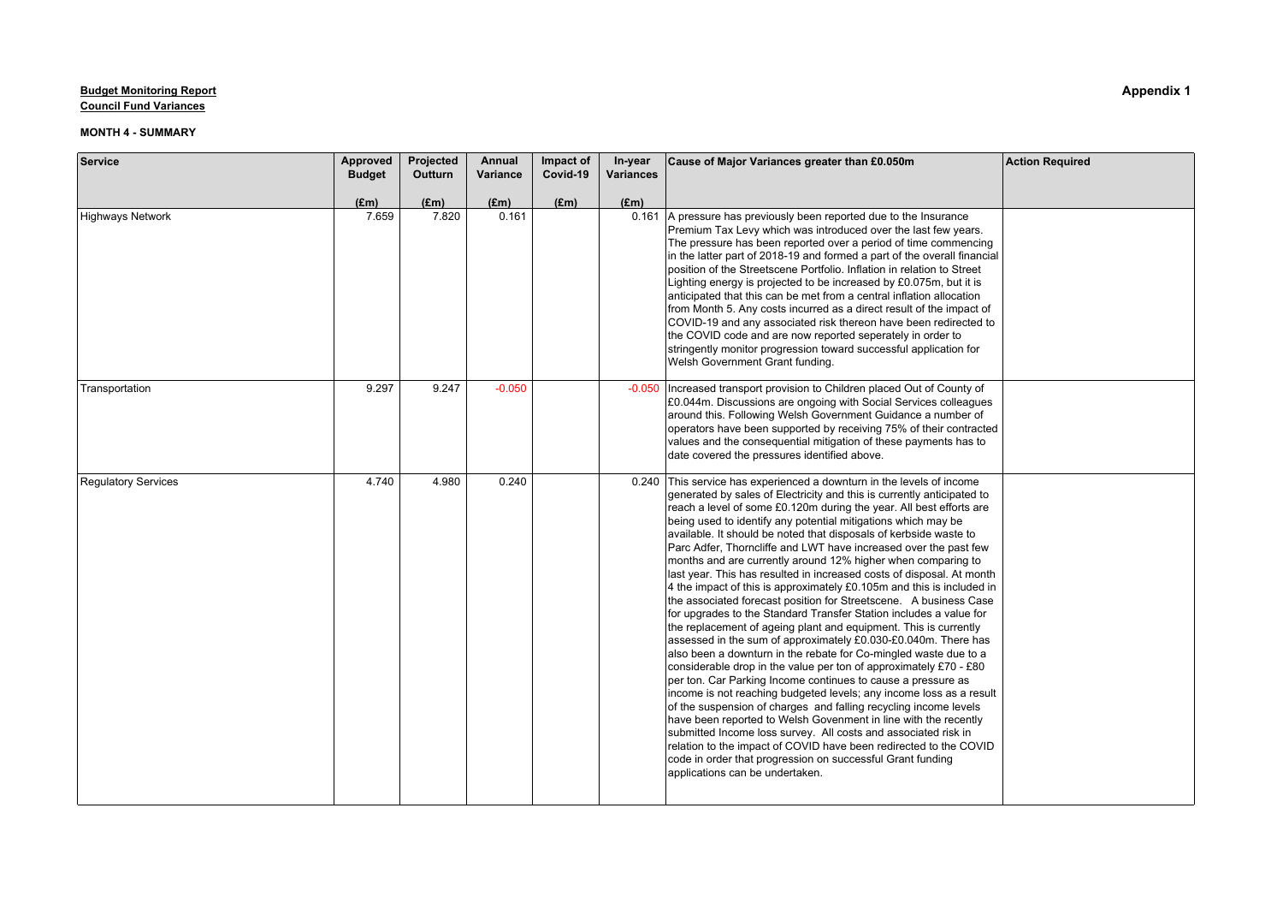**Council Fund Variances**

| Service                    | Approved<br><b>Budget</b> | Projected<br>Outturn | Annual<br>Variance | Impact of<br>Covid-19 | In-year<br><b>Variances</b> | Cause of Major Variances greater than £0.050m                                                                                                                                                                                                                                                                                                                                                                                                                                                                                                                                                                                                                                                                                                                                                                                                                                                                                                                                                                                                                                                                                                                                                                                                                                                                                                                                                                                                                                                                                                                                                        | <b>Action Required</b> |
|----------------------------|---------------------------|----------------------|--------------------|-----------------------|-----------------------------|------------------------------------------------------------------------------------------------------------------------------------------------------------------------------------------------------------------------------------------------------------------------------------------------------------------------------------------------------------------------------------------------------------------------------------------------------------------------------------------------------------------------------------------------------------------------------------------------------------------------------------------------------------------------------------------------------------------------------------------------------------------------------------------------------------------------------------------------------------------------------------------------------------------------------------------------------------------------------------------------------------------------------------------------------------------------------------------------------------------------------------------------------------------------------------------------------------------------------------------------------------------------------------------------------------------------------------------------------------------------------------------------------------------------------------------------------------------------------------------------------------------------------------------------------------------------------------------------------|------------------------|
|                            | $(\text{Em})$             | $(\text{Em})$        | $(\text{Em})$      | (Em)                  | (Em)                        |                                                                                                                                                                                                                                                                                                                                                                                                                                                                                                                                                                                                                                                                                                                                                                                                                                                                                                                                                                                                                                                                                                                                                                                                                                                                                                                                                                                                                                                                                                                                                                                                      |                        |
| Highways Network           | 7.659                     | 7.820                | 0.161              |                       |                             | 0.161 A pressure has previously been reported due to the Insurance<br>Premium Tax Levy which was introduced over the last few years.<br>The pressure has been reported over a period of time commencing<br>in the latter part of 2018-19 and formed a part of the overall financial<br>position of the Streetscene Portfolio. Inflation in relation to Street<br>Lighting energy is projected to be increased by £0.075m, but it is<br>anticipated that this can be met from a central inflation allocation<br>from Month 5. Any costs incurred as a direct result of the impact of<br>COVID-19 and any associated risk thereon have been redirected to<br>the COVID code and are now reported seperately in order to<br>stringently monitor progression toward successful application for<br>Welsh Government Grant funding.                                                                                                                                                                                                                                                                                                                                                                                                                                                                                                                                                                                                                                                                                                                                                                        |                        |
| Transportation             | 9.297                     | 9.247                | $-0.050$           |                       | $-0.050$                    | Increased transport provision to Children placed Out of County of<br>£0.044m. Discussions are ongoing with Social Services colleagues<br>around this. Following Welsh Government Guidance a number of<br>operators have been supported by receiving 75% of their contracted<br>values and the consequential mitigation of these payments has to<br>date covered the pressures identified above.                                                                                                                                                                                                                                                                                                                                                                                                                                                                                                                                                                                                                                                                                                                                                                                                                                                                                                                                                                                                                                                                                                                                                                                                      |                        |
| <b>Regulatory Services</b> | 4.740                     | 4.980                | 0.240              |                       |                             | 0.240 This service has experienced a downturn in the levels of income<br>generated by sales of Electricity and this is currently anticipated to<br>reach a level of some £0.120m during the year. All best efforts are<br>being used to identify any potential mitigations which may be<br>available. It should be noted that disposals of kerbside waste to<br>Parc Adfer, Thorncliffe and LWT have increased over the past few<br>months and are currently around 12% higher when comparing to<br>last year. This has resulted in increased costs of disposal. At month<br>4 the impact of this is approximately $£0.105m$ and this is included in<br>the associated forecast position for Streetscene. A business Case<br>for upgrades to the Standard Transfer Station includes a value for<br>the replacement of ageing plant and equipment. This is currently<br>assessed in the sum of approximately £0.030-£0.040m. There has<br>also been a downturn in the rebate for Co-mingled waste due to a<br>considerable drop in the value per ton of approximately £70 - £80<br>per ton. Car Parking Income continues to cause a pressure as<br>income is not reaching budgeted levels; any income loss as a result<br>of the suspension of charges and falling recycling income levels<br>have been reported to Welsh Govenment in line with the recently<br>submitted Income loss survey. All costs and associated risk in<br>relation to the impact of COVID have been redirected to the COVID<br>code in order that progression on successful Grant funding<br>applications can be undertaken. |                        |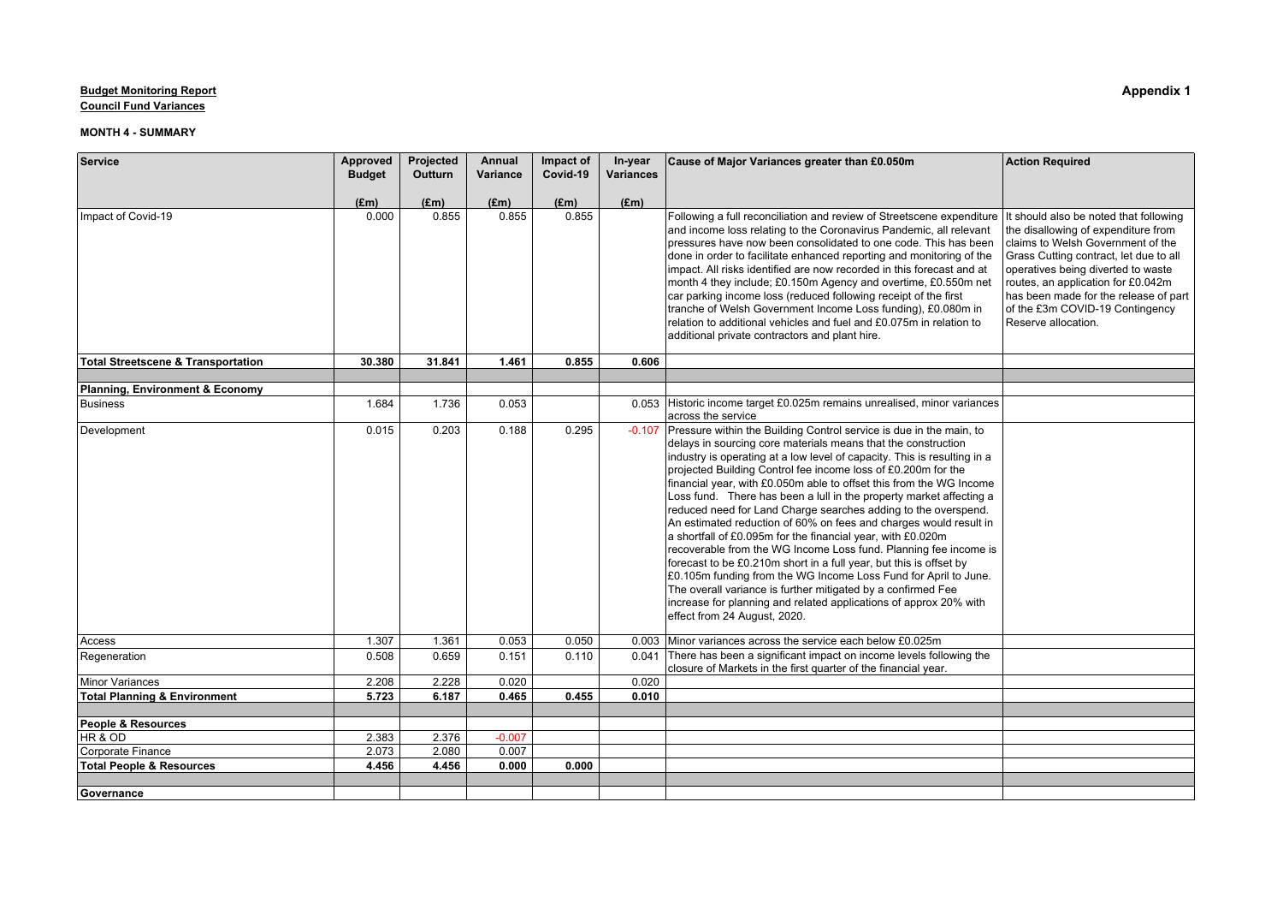**Council Fund Variances**

| Service                                            | Approved      | Projected      | Annual        | Impact of | In-year          | Cause of Major Variances greater than £0.050m                                                                                                                                                                                                                                                                                                                                                                                                                                                                                                                                                                                                                                                                                                                                                                                                                                                                                                                                                                           | <b>Action Required</b>                                                                                                                                                                                                                                                                            |
|----------------------------------------------------|---------------|----------------|---------------|-----------|------------------|-------------------------------------------------------------------------------------------------------------------------------------------------------------------------------------------------------------------------------------------------------------------------------------------------------------------------------------------------------------------------------------------------------------------------------------------------------------------------------------------------------------------------------------------------------------------------------------------------------------------------------------------------------------------------------------------------------------------------------------------------------------------------------------------------------------------------------------------------------------------------------------------------------------------------------------------------------------------------------------------------------------------------|---------------------------------------------------------------------------------------------------------------------------------------------------------------------------------------------------------------------------------------------------------------------------------------------------|
|                                                    | <b>Budget</b> | <b>Outturn</b> | Variance      | Covid-19  | <b>Variances</b> |                                                                                                                                                                                                                                                                                                                                                                                                                                                                                                                                                                                                                                                                                                                                                                                                                                                                                                                                                                                                                         |                                                                                                                                                                                                                                                                                                   |
|                                                    | $(\text{Em})$ | $(\text{Em})$  | $(\text{Em})$ | (Em)      | (Em)             |                                                                                                                                                                                                                                                                                                                                                                                                                                                                                                                                                                                                                                                                                                                                                                                                                                                                                                                                                                                                                         |                                                                                                                                                                                                                                                                                                   |
| Impact of Covid-19                                 | 0.000         | 0.855          | 0.855         | 0.855     |                  | Following a full reconciliation and review of Streetscene expenditure It should also be noted that following<br>and income loss relating to the Coronavirus Pandemic, all relevant<br>pressures have now been consolidated to one code. This has been<br>done in order to facilitate enhanced reporting and monitoring of the<br>impact. All risks identified are now recorded in this forecast and at<br>month 4 they include; £0.150m Agency and overtime, £0.550m net<br>car parking income loss (reduced following receipt of the first<br>tranche of Welsh Government Income Loss funding), £0.080m in<br>relation to additional vehicles and fuel and £0.075m in relation to<br>additional private contractors and plant hire.                                                                                                                                                                                                                                                                                    | the disallowing of expenditure from<br>claims to Welsh Government of the<br>Grass Cutting contract, let due to all<br>operatives being diverted to waste<br>routes, an application for £0.042m<br>has been made for the release of part<br>of the £3m COVID-19 Contingency<br>Reserve allocation. |
| <b>Total Streetscene &amp; Transportation</b>      | 30.380        | 31.841         | 1.461         | 0.855     | 0.606            |                                                                                                                                                                                                                                                                                                                                                                                                                                                                                                                                                                                                                                                                                                                                                                                                                                                                                                                                                                                                                         |                                                                                                                                                                                                                                                                                                   |
|                                                    |               |                |               |           |                  |                                                                                                                                                                                                                                                                                                                                                                                                                                                                                                                                                                                                                                                                                                                                                                                                                                                                                                                                                                                                                         |                                                                                                                                                                                                                                                                                                   |
| Planning, Environment & Economy<br><b>Business</b> | 1.684         | 1.736          | 0.053         |           |                  | 0.053 Historic income target £0.025m remains unrealised, minor variances                                                                                                                                                                                                                                                                                                                                                                                                                                                                                                                                                                                                                                                                                                                                                                                                                                                                                                                                                |                                                                                                                                                                                                                                                                                                   |
|                                                    |               |                |               |           |                  | across the service                                                                                                                                                                                                                                                                                                                                                                                                                                                                                                                                                                                                                                                                                                                                                                                                                                                                                                                                                                                                      |                                                                                                                                                                                                                                                                                                   |
| Development                                        | 0.015         | 0.203          | 0.188         | 0.295     | $-0.107$         | Pressure within the Building Control service is due in the main, to<br>delays in sourcing core materials means that the construction<br>industry is operating at a low level of capacity. This is resulting in a<br>projected Building Control fee income loss of £0.200m for the<br>financial year, with £0.050m able to offset this from the WG Income<br>Loss fund. There has been a lull in the property market affecting a<br>reduced need for Land Charge searches adding to the overspend.<br>An estimated reduction of 60% on fees and charges would result in<br>a shortfall of £0.095m for the financial year, with £0.020m<br>recoverable from the WG Income Loss fund. Planning fee income is<br>forecast to be £0.210m short in a full year, but this is offset by<br>£0.105m funding from the WG Income Loss Fund for April to June.<br>The overall variance is further mitigated by a confirmed Fee<br>increase for planning and related applications of approx 20% with<br>effect from 24 August, 2020. |                                                                                                                                                                                                                                                                                                   |
| Access                                             | 1.307         | 1.361          | 0.053         | 0.050     |                  | 0.003 Minor variances across the service each below £0.025m                                                                                                                                                                                                                                                                                                                                                                                                                                                                                                                                                                                                                                                                                                                                                                                                                                                                                                                                                             |                                                                                                                                                                                                                                                                                                   |
| Regeneration                                       | 0.508         | 0.659          | 0.151         | 0.110     | 0.041            | There has been a significant impact on income levels following the<br>closure of Markets in the first quarter of the financial year.                                                                                                                                                                                                                                                                                                                                                                                                                                                                                                                                                                                                                                                                                                                                                                                                                                                                                    |                                                                                                                                                                                                                                                                                                   |
| Minor Variances                                    | 2.208         | 2.228          | 0.020         |           | 0.020            |                                                                                                                                                                                                                                                                                                                                                                                                                                                                                                                                                                                                                                                                                                                                                                                                                                                                                                                                                                                                                         |                                                                                                                                                                                                                                                                                                   |
| <b>Total Planning &amp; Environment</b>            | 5.723         | 6.187          | 0.465         | 0.455     | 0.010            |                                                                                                                                                                                                                                                                                                                                                                                                                                                                                                                                                                                                                                                                                                                                                                                                                                                                                                                                                                                                                         |                                                                                                                                                                                                                                                                                                   |
|                                                    |               |                |               |           |                  |                                                                                                                                                                                                                                                                                                                                                                                                                                                                                                                                                                                                                                                                                                                                                                                                                                                                                                                                                                                                                         |                                                                                                                                                                                                                                                                                                   |
| People & Resources                                 |               |                |               |           |                  |                                                                                                                                                                                                                                                                                                                                                                                                                                                                                                                                                                                                                                                                                                                                                                                                                                                                                                                                                                                                                         |                                                                                                                                                                                                                                                                                                   |
| HR & OD                                            | 2.383         | 2.376          | $-0.007$      |           |                  |                                                                                                                                                                                                                                                                                                                                                                                                                                                                                                                                                                                                                                                                                                                                                                                                                                                                                                                                                                                                                         |                                                                                                                                                                                                                                                                                                   |
| Corporate Finance                                  | 2.073         | 2.080          | 0.007         |           |                  |                                                                                                                                                                                                                                                                                                                                                                                                                                                                                                                                                                                                                                                                                                                                                                                                                                                                                                                                                                                                                         |                                                                                                                                                                                                                                                                                                   |
| <b>Total People &amp; Resources</b>                | 4.456         | 4.456          | 0.000         | 0.000     |                  |                                                                                                                                                                                                                                                                                                                                                                                                                                                                                                                                                                                                                                                                                                                                                                                                                                                                                                                                                                                                                         |                                                                                                                                                                                                                                                                                                   |
| Governance                                         |               |                |               |           |                  |                                                                                                                                                                                                                                                                                                                                                                                                                                                                                                                                                                                                                                                                                                                                                                                                                                                                                                                                                                                                                         |                                                                                                                                                                                                                                                                                                   |
|                                                    |               |                |               |           |                  |                                                                                                                                                                                                                                                                                                                                                                                                                                                                                                                                                                                                                                                                                                                                                                                                                                                                                                                                                                                                                         |                                                                                                                                                                                                                                                                                                   |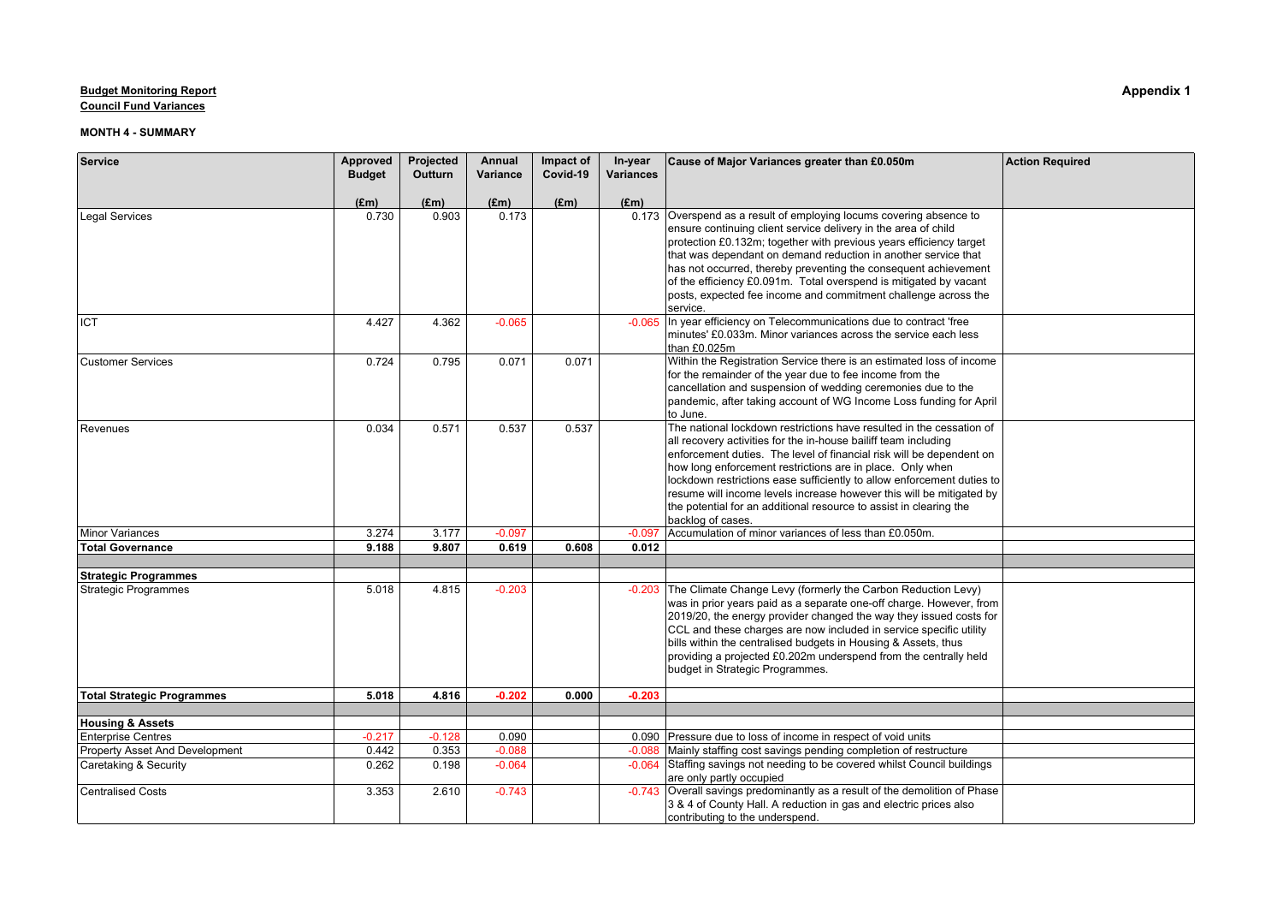**Council Fund Variances**

| Service                                                  | Approved      | Projected     | Annual        | Impact of<br>Covid-19 | In-year          | Cause of Major Variances greater than £0.050m                                                                                                                                                                                                                                                                                                                                                                                                                                                                             | <b>Action Required</b> |
|----------------------------------------------------------|---------------|---------------|---------------|-----------------------|------------------|---------------------------------------------------------------------------------------------------------------------------------------------------------------------------------------------------------------------------------------------------------------------------------------------------------------------------------------------------------------------------------------------------------------------------------------------------------------------------------------------------------------------------|------------------------|
|                                                          | <b>Budget</b> | Outturn       | Variance      |                       | <b>Variances</b> |                                                                                                                                                                                                                                                                                                                                                                                                                                                                                                                           |                        |
|                                                          | $(\text{Em})$ | $(\text{Em})$ | $(\text{Em})$ | (Em)                  | $(\text{Em})$    |                                                                                                                                                                                                                                                                                                                                                                                                                                                                                                                           |                        |
| <b>Legal Services</b>                                    | 0.730         | 0.903         | 0.173         |                       |                  | 0.173 Overspend as a result of employing locums covering absence to<br>ensure continuing client service delivery in the area of child<br>protection £0.132m; together with previous years efficiency target<br>that was dependant on demand reduction in another service that<br>has not occurred, thereby preventing the consequent achievement<br>of the efficiency £0.091m. Total overspend is mitigated by vacant<br>posts, expected fee income and commitment challenge across the<br>service.                       |                        |
| Ііст                                                     | 4.427         | 4.362         | $-0.065$      |                       | $-0.065$         | In year efficiency on Telecommunications due to contract 'free<br>minutes' £0.033m. Minor variances across the service each less<br>than £0.025m                                                                                                                                                                                                                                                                                                                                                                          |                        |
| <b>Customer Services</b>                                 | 0.724         | 0.795         | 0.071         | 0.071                 |                  | Within the Registration Service there is an estimated loss of income<br>for the remainder of the year due to fee income from the<br>cancellation and suspension of wedding ceremonies due to the<br>pandemic, after taking account of WG Income Loss funding for April<br>to June.                                                                                                                                                                                                                                        |                        |
| Revenues                                                 | 0.034         | 0.571         | 0.537         | 0.537                 |                  | The national lockdown restrictions have resulted in the cessation of<br>all recovery activities for the in-house bailiff team including<br>enforcement duties. The level of financial risk will be dependent on<br>how long enforcement restrictions are in place. Only when<br>lockdown restrictions ease sufficiently to allow enforcement duties to<br>resume will income levels increase however this will be mitigated by<br>the potential for an additional resource to assist in clearing the<br>backlog of cases. |                        |
| Minor Variances                                          | 3.274         | 3.177         | $-0.097$      |                       | $-0.097$         | Accumulation of minor variances of less than £0.050m.                                                                                                                                                                                                                                                                                                                                                                                                                                                                     |                        |
| <b>Total Governance</b>                                  | 9.188         | 9.807         | 0.619         | 0.608                 | 0.012            |                                                                                                                                                                                                                                                                                                                                                                                                                                                                                                                           |                        |
|                                                          |               |               |               |                       |                  |                                                                                                                                                                                                                                                                                                                                                                                                                                                                                                                           |                        |
| <b>Strategic Programmes</b>                              |               |               |               |                       |                  |                                                                                                                                                                                                                                                                                                                                                                                                                                                                                                                           |                        |
| Strategic Programmes                                     | 5.018         | 4.815         | $-0.203$      |                       | $-0.203$         | The Climate Change Levy (formerly the Carbon Reduction Levy)<br>was in prior years paid as a separate one-off charge. However, from<br>2019/20, the energy provider changed the way they issued costs for<br>CCL and these charges are now included in service specific utility<br>bills within the centralised budgets in Housing & Assets, thus<br>providing a projected £0.202m underspend from the centrally held<br>budget in Strategic Programmes.                                                                  |                        |
| <b>Total Strategic Programmes</b>                        | 5.018         | 4.816         | $-0.202$      | 0.000                 | $-0.203$         |                                                                                                                                                                                                                                                                                                                                                                                                                                                                                                                           |                        |
|                                                          |               |               |               |                       |                  |                                                                                                                                                                                                                                                                                                                                                                                                                                                                                                                           |                        |
| <b>Housing &amp; Assets</b><br><b>Enterprise Centres</b> | $-0.217$      | $-0.128$      | 0.090         |                       |                  | 0.090 Pressure due to loss of income in respect of void units                                                                                                                                                                                                                                                                                                                                                                                                                                                             |                        |
| <b>Property Asset And Development</b>                    | 0.442         | 0.353         | $-0.088$      |                       | $-0.088$         | Mainly staffing cost savings pending completion of restructure                                                                                                                                                                                                                                                                                                                                                                                                                                                            |                        |
| Caretaking & Security                                    | 0.262         | 0.198         | $-0.064$      |                       | $-0.064$         | Staffing savings not needing to be covered whilst Council buildings<br>are only partly occupied                                                                                                                                                                                                                                                                                                                                                                                                                           |                        |
| <b>Centralised Costs</b>                                 | 3.353         | 2.610         | $-0.743$      |                       | $-0.743$         | Overall savings predominantly as a result of the demolition of Phase<br>3 & 4 of County Hall. A reduction in gas and electric prices also<br>contributing to the underspend.                                                                                                                                                                                                                                                                                                                                              |                        |